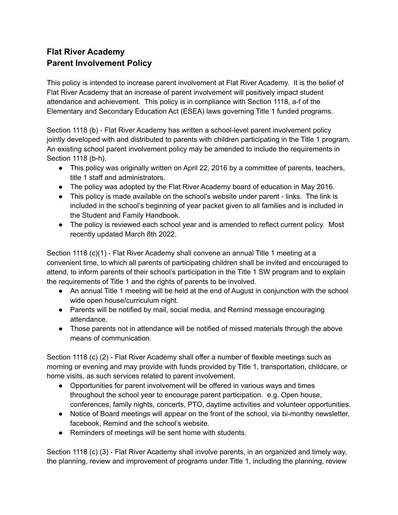## **Flat River Academy Parent Involvement Policy**

This policy is intended to increase parent involvement at Flat River Academy. It is the belief of Flat River Academy that an increase of parent involvement will positively impact student attendance and achievement. This policy is in compliance with Section 1118, a-f of the Elementary and Secondary Education Act (ESEA) laws governing Title 1 funded programs.

Section 1118 (b) - Flat River Academy has written a school-level parent involvement policy jointly developed with and distributed to parents with children participating in the Title 1 program. An existing school parent involvement policy may be amended to include the requirements in Section 1118 (b-h).

- This policy was originally written on April 22, 2016 by a committee of parents, teachers, title 1 staff and administrators.
- The policy was adopted by the Flat River Academy board of education in May 2016.
- This policy is made available on the school's website under parent links. The link is included in the school's beginning of year packet given to all families and is included in the Student and Family Handbook.
- The policy is reviewed each school year and is amended to reflect current policy. Most recently updated March 8th 2022.

Section 1118 (c)(1) - Flat River Academy shall convene an annual Title 1 meeting at a convenient time, to which all parents of participating children shall be invited and encouraged to attend, to inform parents of their school's participation in the Title 1 SW program and to explain the requirements of Title 1 and the rights of parents to be involved.

- An annual Title 1 meeting will be held at the end of August in conjunction with the school wide open house/curriculum night.
- Parents will be notified by mail, social media, and Remind message encouraging attendance.
- Those parents not in attendance will be notified of missed materials through the above means of communication.

Section 1118 (c) (2) - Flat River Academy shall offer a number of flexible meetings such as morning or evening and may provide with funds provided by Title 1, transportation, childcare, or home visits, as such services related to parent involvement.

- Opportunities for parent involvement will be offered in various ways and times throughout the school year to encourage parent participation. e.g. Open house, conferences, family nights, concerts, PTO, daytime activities and volunteer opportunities.
- Notice of Board meetings will appear on the front of the school, via bi-monthy newsletter, facebook, Remind and the school's website.
- Reminders of meetings will be sent home with students.

Section 1118 (c) (3) - Flat River Academy shall involve parents, in an organized and timely way, the planning, review and improvement of programs under Title 1, including the planning, review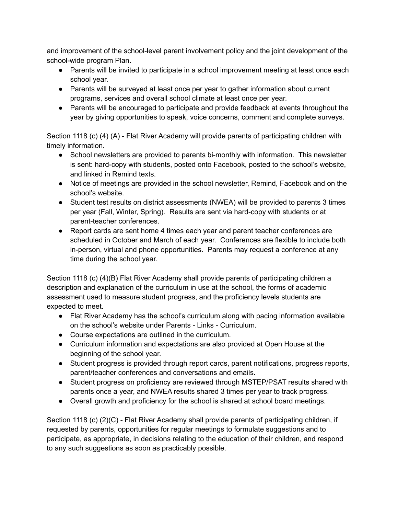and improvement of the school-level parent involvement policy and the joint development of the school-wide program Plan.

- Parents will be invited to participate in a school improvement meeting at least once each school year.
- Parents will be surveyed at least once per year to gather information about current programs, services and overall school climate at least once per year.
- Parents will be encouraged to participate and provide feedback at events throughout the year by giving opportunities to speak, voice concerns, comment and complete surveys.

Section 1118 (c) (4) (A) - Flat River Academy will provide parents of participating children with timely information.

- School newsletters are provided to parents bi-monthly with information. This newsletter is sent: hard-copy with students, posted onto Facebook, posted to the school's website, and linked in Remind texts.
- Notice of meetings are provided in the school newsletter, Remind, Facebook and on the school's website.
- Student test results on district assessments (NWEA) will be provided to parents 3 times per year (Fall, Winter, Spring). Results are sent via hard-copy with students or at parent-teacher conferences.
- Report cards are sent home 4 times each year and parent teacher conferences are scheduled in October and March of each year. Conferences are flexible to include both in-person, virtual and phone opportunities. Parents may request a conference at any time during the school year.

Section 1118 (c) (4)(B) Flat River Academy shall provide parents of participating children a description and explanation of the curriculum in use at the school, the forms of academic assessment used to measure student progress, and the proficiency levels students are expected to meet.

- Flat River Academy has the school's curriculum along with pacing information available on the school's website under Parents - Links - Curriculum.
- Course expectations are outlined in the curriculum.
- Curriculum information and expectations are also provided at Open House at the beginning of the school year.
- Student progress is provided through report cards, parent notifications, progress reports, parent/teacher conferences and conversations and emails.
- Student progress on proficiency are reviewed through MSTEP/PSAT results shared with parents once a year, and NWEA results shared 3 times per year to track progress.
- Overall growth and proficiency for the school is shared at school board meetings.

Section 1118 (c) (2)(C) - Flat River Academy shall provide parents of participating children, if requested by parents, opportunities for regular meetings to formulate suggestions and to participate, as appropriate, in decisions relating to the education of their children, and respond to any such suggestions as soon as practicably possible.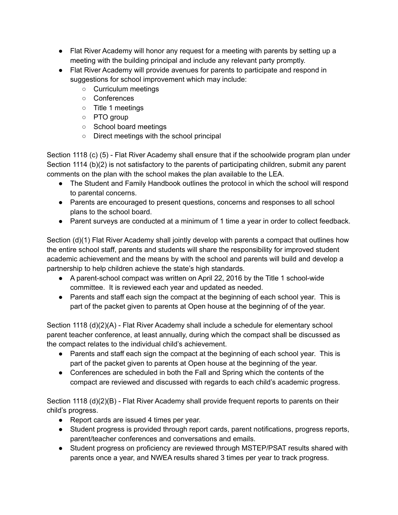- Flat River Academy will honor any request for a meeting with parents by setting up a meeting with the building principal and include any relevant party promptly.
- Flat River Academy will provide avenues for parents to participate and respond in suggestions for school improvement which may include:
	- Curriculum meetings
	- Conferences
	- Title 1 meetings
	- PTO group
	- School board meetings
	- Direct meetings with the school principal

Section 1118 (c) (5) - Flat River Academy shall ensure that if the schoolwide program plan under Section 1114 (b)(2) is not satisfactory to the parents of participating children, submit any parent comments on the plan with the school makes the plan available to the LEA.

- The Student and Family Handbook outlines the protocol in which the school will respond to parental concerns.
- Parents are encouraged to present questions, concerns and responses to all school plans to the school board.
- Parent surveys are conducted at a minimum of 1 time a year in order to collect feedback.

Section (d)(1) Flat River Academy shall jointly develop with parents a compact that outlines how the entire school staff, parents and students will share the responsibility for improved student academic achievement and the means by with the school and parents will build and develop a partnership to help children achieve the state's high standards.

- A parent-school compact was written on April 22, 2016 by the Title 1 school-wide committee. It is reviewed each year and updated as needed.
- Parents and staff each sign the compact at the beginning of each school year. This is part of the packet given to parents at Open house at the beginning of of the year.

Section 1118 (d)(2)(A) - Flat River Academy shall include a schedule for elementary school parent teacher conference, at least annually, during which the compact shall be discussed as the compact relates to the individual child's achievement.

- Parents and staff each sign the compact at the beginning of each school year. This is part of the packet given to parents at Open house at the beginning of the year.
- Conferences are scheduled in both the Fall and Spring which the contents of the compact are reviewed and discussed with regards to each child's academic progress.

Section 1118 (d)(2)(B) - Flat River Academy shall provide frequent reports to parents on their child's progress.

- Report cards are issued 4 times per year.
- Student progress is provided through report cards, parent notifications, progress reports, parent/teacher conferences and conversations and emails.
- Student progress on proficiency are reviewed through MSTEP/PSAT results shared with parents once a year, and NWEA results shared 3 times per year to track progress.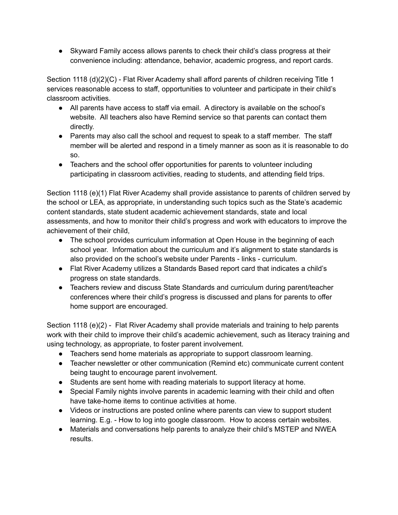● Skyward Family access allows parents to check their child's class progress at their convenience including: attendance, behavior, academic progress, and report cards.

Section 1118 (d)(2)(C) - Flat River Academy shall afford parents of children receiving Title 1 services reasonable access to staff, opportunities to volunteer and participate in their child's classroom activities.

- All parents have access to staff via email. A directory is available on the school's website. All teachers also have Remind service so that parents can contact them directly.
- Parents may also call the school and request to speak to a staff member. The staff member will be alerted and respond in a timely manner as soon as it is reasonable to do so.
- Teachers and the school offer opportunities for parents to volunteer including participating in classroom activities, reading to students, and attending field trips.

Section 1118 (e)(1) Flat River Academy shall provide assistance to parents of children served by the school or LEA, as appropriate, in understanding such topics such as the State's academic content standards, state student academic achievement standards, state and local assessments, and how to monitor their child's progress and work with educators to improve the achievement of their child,

- The school provides curriculum information at Open House in the beginning of each school year. Information about the curriculum and it's alignment to state standards is also provided on the school's website under Parents - links - curriculum.
- Flat River Academy utilizes a Standards Based report card that indicates a child's progress on state standards.
- Teachers review and discuss State Standards and curriculum during parent/teacher conferences where their child's progress is discussed and plans for parents to offer home support are encouraged.

Section 1118 (e)(2) - Flat River Academy shall provide materials and training to help parents work with their child to improve their child's academic achievement, such as literacy training and using technology, as appropriate, to foster parent involvement.

- Teachers send home materials as appropriate to support classroom learning.
- Teacher newsletter or other communication (Remind etc) communicate current content being taught to encourage parent involvement.
- Students are sent home with reading materials to support literacy at home.
- Special Family nights involve parents in academic learning with their child and often have take-home items to continue activities at home.
- Videos or instructions are posted online where parents can view to support student learning. E.g. - How to log into google classroom. How to access certain websites.
- Materials and conversations help parents to analyze their child's MSTEP and NWEA results.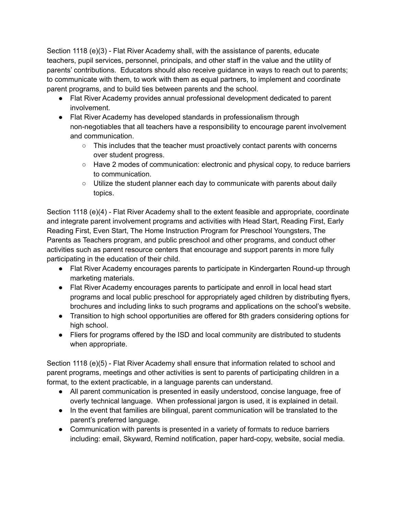Section 1118 (e)(3) - Flat River Academy shall, with the assistance of parents, educate teachers, pupil services, personnel, principals, and other staff in the value and the utility of parents' contributions. Educators should also receive guidance in ways to reach out to parents; to communicate with them, to work with them as equal partners, to implement and coordinate parent programs, and to build ties between parents and the school.

- Flat River Academy provides annual professional development dedicated to parent involvement.
- Flat River Academy has developed standards in professionalism through non-negotiables that all teachers have a responsibility to encourage parent involvement and communication.
	- This includes that the teacher must proactively contact parents with concerns over student progress.
	- Have 2 modes of communication: electronic and physical copy, to reduce barriers to communication.
	- $\circ$  Utilize the student planner each day to communicate with parents about daily topics.

Section 1118 (e)(4) - Flat River Academy shall to the extent feasible and appropriate, coordinate and integrate parent involvement programs and activities with Head Start, Reading First, Early Reading First, Even Start, The Home Instruction Program for Preschool Youngsters, The Parents as Teachers program, and public preschool and other programs, and conduct other activities such as parent resource centers that encourage and support parents in more fully participating in the education of their child.

- Flat River Academy encourages parents to participate in Kindergarten Round-up through marketing materials.
- Flat River Academy encourages parents to participate and enroll in local head start programs and local public preschool for appropriately aged children by distributing flyers, brochures and including links to such programs and applications on the school's website.
- Transition to high school opportunities are offered for 8th graders considering options for high school.
- Fliers for programs offered by the ISD and local community are distributed to students when appropriate.

Section 1118 (e)(5) - Flat River Academy shall ensure that information related to school and parent programs, meetings and other activities is sent to parents of participating children in a format, to the extent practicable, in a language parents can understand.

- All parent communication is presented in easily understood, concise language, free of overly technical language. When professional jargon is used, it is explained in detail.
- In the event that families are bilingual, parent communication will be translated to the parent's preferred language.
- Communication with parents is presented in a variety of formats to reduce barriers including: email, Skyward, Remind notification, paper hard-copy, website, social media.